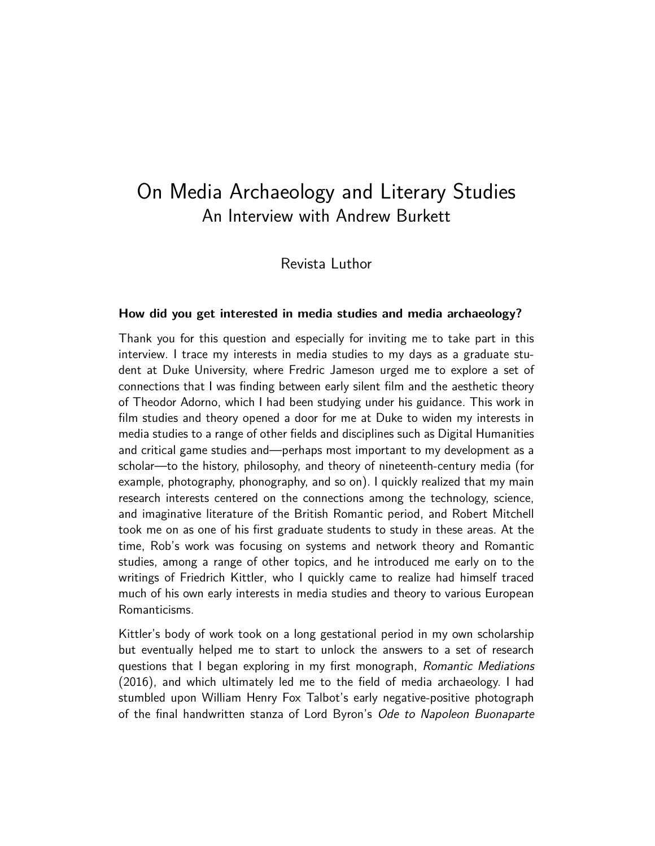# On Media Archaeology and Literary Studies An Interview with Andrew Burkett

Revista Luthor

#### **How did you get interested in media studies and media archaeology?**

Thank you for this question and especially for inviting me to take part in this interview. I trace my interests in media studies to my days as a graduate student at Duke University, where Fredric Jameson urged me to explore a set of connections that I was finding between early silent film and the aesthetic theory of Theodor Adorno, which I had been studying under his guidance. This work in film studies and theory opened a door for me at Duke to widen my interests in media studies to a range of other fields and disciplines such as Digital Humanities and critical game studies and—perhaps most important to my development as a scholar—to the history, philosophy, and theory of nineteenth-century media (for example, photography, phonography, and so on). I quickly realized that my main research interests centered on the connections among the technology, science, and imaginative literature of the British Romantic period, and Robert Mitchell took me on as one of his first graduate students to study in these areas. At the time, Rob's work was focusing on systems and network theory and Romantic studies, among a range of other topics, and he introduced me early on to the writings of Friedrich Kittler, who I quickly came to realize had himself traced much of his own early interests in media studies and theory to various European Romanticisms.

Kittler's body of work took on a long gestational period in my own scholarship but eventually helped me to start to unlock the answers to a set of research questions that I began exploring in my first monograph, Romantic Mediations (2016), and which ultimately led me to the field of media archaeology. I had stumbled upon William Henry Fox Talbot's early negative-positive photograph of the final handwritten stanza of Lord Byron's Ode to Napoleon Buonaparte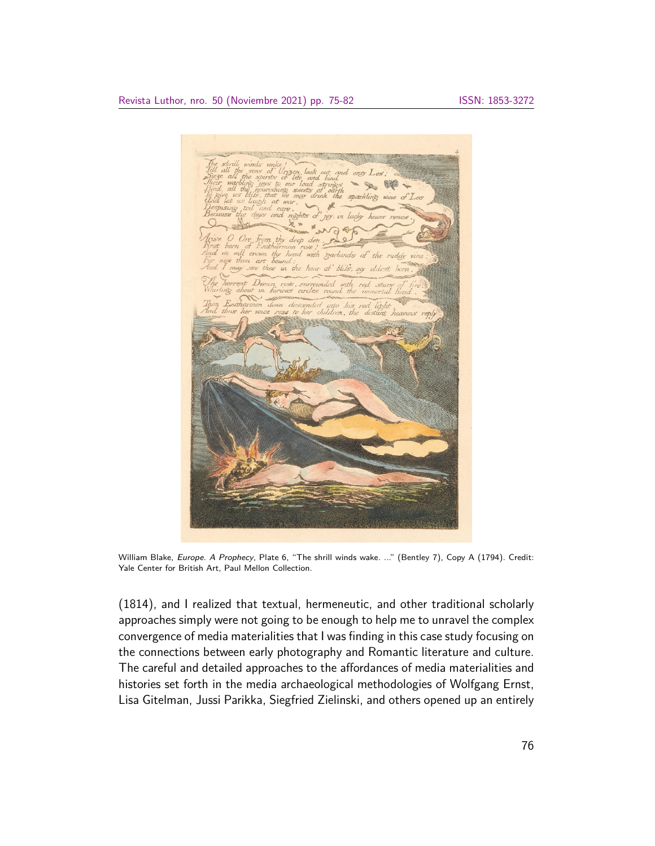

William Blake, Europe. A Prophecy, Plate 6, "The shrill winds wake. ..." (Bentley 7), Copy A (1794). Credit: Yale Center for British Art, Paul Mellon Collection.

(1814), and I realized that textual, hermeneutic, and other traditional scholarly approaches simply were not going to be enough to help me to unravel the complex convergence of media materialities that I was finding in this case study focusing on the connections between early photography and Romantic literature and culture. The careful and detailed approaches to the affordances of media materialities and histories set forth in the media archaeological methodologies of Wolfgang Ernst, Lisa Gitelman, Jussi Parikka, Siegfried Zielinski, and others opened up an entirely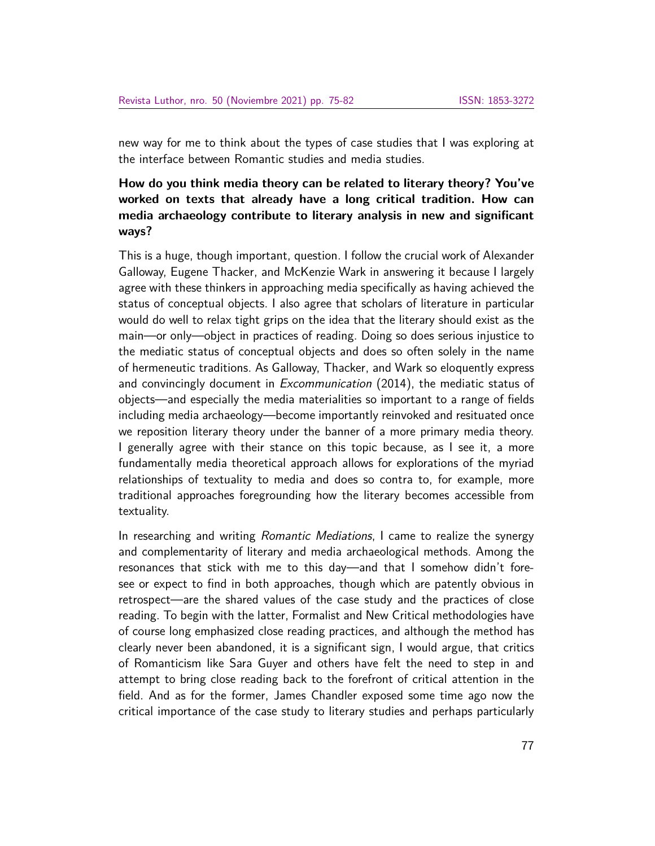new way for me to think about the types of case studies that I was exploring at the interface between Romantic studies and media studies.

## **How do you think media theory can be related to literary theory? You've worked on texts that already have a long critical tradition. How can media archaeology contribute to literary analysis in new and significant ways?**

This is a huge, though important, question. I follow the crucial work of Alexander Galloway, Eugene Thacker, and McKenzie Wark in answering it because I largely agree with these thinkers in approaching media specifically as having achieved the status of conceptual objects. I also agree that scholars of literature in particular would do well to relax tight grips on the idea that the literary should exist as the main—or only—object in practices of reading. Doing so does serious injustice to the mediatic status of conceptual objects and does so often solely in the name of hermeneutic traditions. As Galloway, Thacker, and Wark so eloquently express and convincingly document in Excommunication (2014), the mediatic status of objects—and especially the media materialities so important to a range of fields including media archaeology—become importantly reinvoked and resituated once we reposition literary theory under the banner of a more primary media theory. I generally agree with their stance on this topic because, as I see it, a more fundamentally media theoretical approach allows for explorations of the myriad relationships of textuality to media and does so contra to, for example, more traditional approaches foregrounding how the literary becomes accessible from textuality.

In researching and writing *Romantic Mediations*, I came to realize the synergy and complementarity of literary and media archaeological methods. Among the resonances that stick with me to this day—and that I somehow didn't foresee or expect to find in both approaches, though which are patently obvious in retrospect—are the shared values of the case study and the practices of close reading. To begin with the latter, Formalist and New Critical methodologies have of course long emphasized close reading practices, and although the method has clearly never been abandoned, it is a significant sign, I would argue, that critics of Romanticism like Sara Guyer and others have felt the need to step in and attempt to bring close reading back to the forefront of critical attention in the field. And as for the former, James Chandler exposed some time ago now the critical importance of the case study to literary studies and perhaps particularly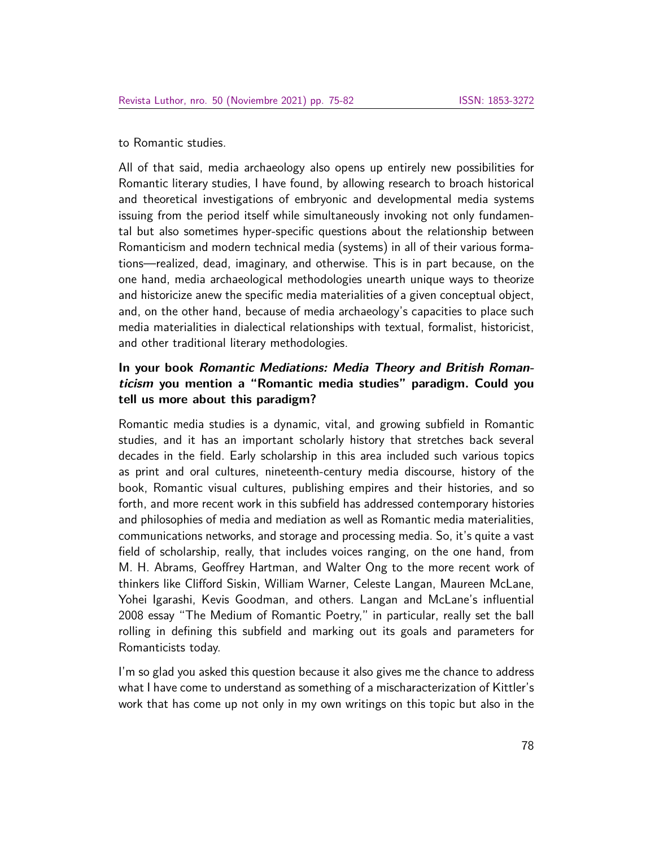to Romantic studies.

All of that said, media archaeology also opens up entirely new possibilities for Romantic literary studies, I have found, by allowing research to broach historical and theoretical investigations of embryonic and developmental media systems issuing from the period itself while simultaneously invoking not only fundamental but also sometimes hyper-specific questions about the relationship between Romanticism and modern technical media (systems) in all of their various formations—realized, dead, imaginary, and otherwise. This is in part because, on the one hand, media archaeological methodologies unearth unique ways to theorize and historicize anew the specific media materialities of a given conceptual object, and, on the other hand, because of media archaeology's capacities to place such media materialities in dialectical relationships with textual, formalist, historicist, and other traditional literary methodologies.

### **In your book Romantic Mediations: Media Theory and British Romanticism you mention a "Romantic media studies" paradigm. Could you tell us more about this paradigm?**

Romantic media studies is a dynamic, vital, and growing subfield in Romantic studies, and it has an important scholarly history that stretches back several decades in the field. Early scholarship in this area included such various topics as print and oral cultures, nineteenth-century media discourse, history of the book, Romantic visual cultures, publishing empires and their histories, and so forth, and more recent work in this subfield has addressed contemporary histories and philosophies of media and mediation as well as Romantic media materialities, communications networks, and storage and processing media. So, it's quite a vast field of scholarship, really, that includes voices ranging, on the one hand, from M. H. Abrams, Geoffrey Hartman, and Walter Ong to the more recent work of thinkers like Clifford Siskin, William Warner, Celeste Langan, Maureen McLane, Yohei Igarashi, Kevis Goodman, and others. Langan and McLane's influential 2008 essay "The Medium of Romantic Poetry," in particular, really set the ball rolling in defining this subfield and marking out its goals and parameters for Romanticists today.

I'm so glad you asked this question because it also gives me the chance to address what I have come to understand as something of a mischaracterization of Kittler's work that has come up not only in my own writings on this topic but also in the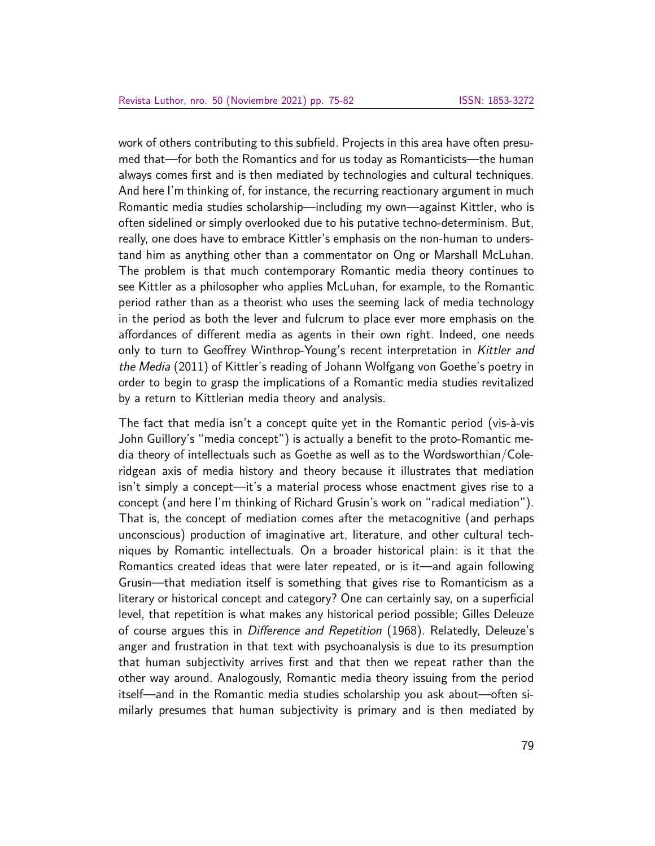work of others contributing to this subfield. Projects in this area have often presumed that—for both the Romantics and for us today as Romanticists—the human always comes first and is then mediated by technologies and cultural techniques. And here I'm thinking of, for instance, the recurring reactionary argument in much Romantic media studies scholarship—including my own—against Kittler, who is often sidelined or simply overlooked due to his putative techno-determinism. But, really, one does have to embrace Kittler's emphasis on the non-human to understand him as anything other than a commentator on Ong or Marshall McLuhan. The problem is that much contemporary Romantic media theory continues to see Kittler as a philosopher who applies McLuhan, for example, to the Romantic period rather than as a theorist who uses the seeming lack of media technology in the period as both the lever and fulcrum to place ever more emphasis on the affordances of different media as agents in their own right. Indeed, one needs only to turn to Geoffrey Winthrop-Young's recent interpretation in Kittler and the Media (2011) of Kittler's reading of Johann Wolfgang von Goethe's poetry in order to begin to grasp the implications of a Romantic media studies revitalized by a return to Kittlerian media theory and analysis.

The fact that media isn't a concept quite yet in the Romantic period (vis-à-vis John Guillory's "media concept") is actually a benefit to the proto-Romantic media theory of intellectuals such as Goethe as well as to the Wordsworthian/Coleridgean axis of media history and theory because it illustrates that mediation isn't simply a concept—it's a material process whose enactment gives rise to a concept (and here I'm thinking of Richard Grusin's work on "radical mediation"). That is, the concept of mediation comes after the metacognitive (and perhaps unconscious) production of imaginative art, literature, and other cultural techniques by Romantic intellectuals. On a broader historical plain: is it that the Romantics created ideas that were later repeated, or is it—and again following Grusin—that mediation itself is something that gives rise to Romanticism as a literary or historical concept and category? One can certainly say, on a superficial level, that repetition is what makes any historical period possible; Gilles Deleuze of course argues this in Difference and Repetition (1968). Relatedly, Deleuze's anger and frustration in that text with psychoanalysis is due to its presumption that human subjectivity arrives first and that then we repeat rather than the other way around. Analogously, Romantic media theory issuing from the period itself—and in the Romantic media studies scholarship you ask about—often similarly presumes that human subjectivity is primary and is then mediated by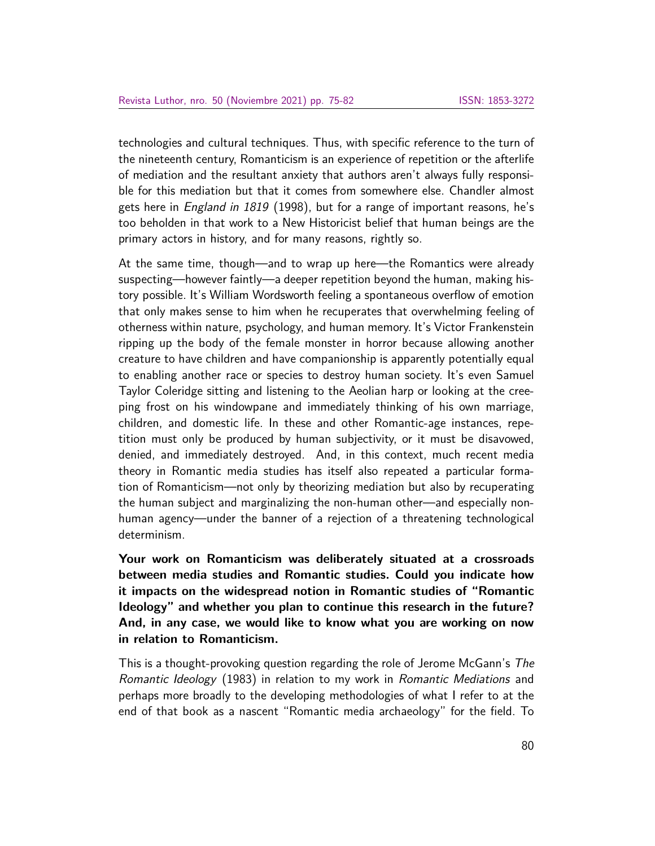technologies and cultural techniques. Thus, with specific reference to the turn of the nineteenth century, Romanticism is an experience of repetition or the afterlife of mediation and the resultant anxiety that authors aren't always fully responsible for this mediation but that it comes from somewhere else. Chandler almost gets here in *England in 1819* (1998), but for a range of important reasons, he's too beholden in that work to a New Historicist belief that human beings are the primary actors in history, and for many reasons, rightly so.

At the same time, though—and to wrap up here—the Romantics were already suspecting—however faintly—a deeper repetition beyond the human, making history possible. It's William Wordsworth feeling a spontaneous overflow of emotion that only makes sense to him when he recuperates that overwhelming feeling of otherness within nature, psychology, and human memory. It's Victor Frankenstein ripping up the body of the female monster in horror because allowing another creature to have children and have companionship is apparently potentially equal to enabling another race or species to destroy human society. It's even Samuel Taylor Coleridge sitting and listening to the Aeolian harp or looking at the creeping frost on his windowpane and immediately thinking of his own marriage, children, and domestic life. In these and other Romantic-age instances, repetition must only be produced by human subjectivity, or it must be disavowed, denied, and immediately destroyed. And, in this context, much recent media theory in Romantic media studies has itself also repeated a particular formation of Romanticism—not only by theorizing mediation but also by recuperating the human subject and marginalizing the non-human other—and especially nonhuman agency—under the banner of a rejection of a threatening technological determinism.

**Your work on Romanticism was deliberately situated at a crossroads between media studies and Romantic studies. Could you indicate how it impacts on the widespread notion in Romantic studies of "Romantic Ideology" and whether you plan to continue this research in the future? And, in any case, we would like to know what you are working on now in relation to Romanticism.**

This is a thought-provoking question regarding the role of Jerome McGann's The Romantic Ideology (1983) in relation to my work in Romantic Mediations and perhaps more broadly to the developing methodologies of what I refer to at the end of that book as a nascent "Romantic media archaeology" for the field. To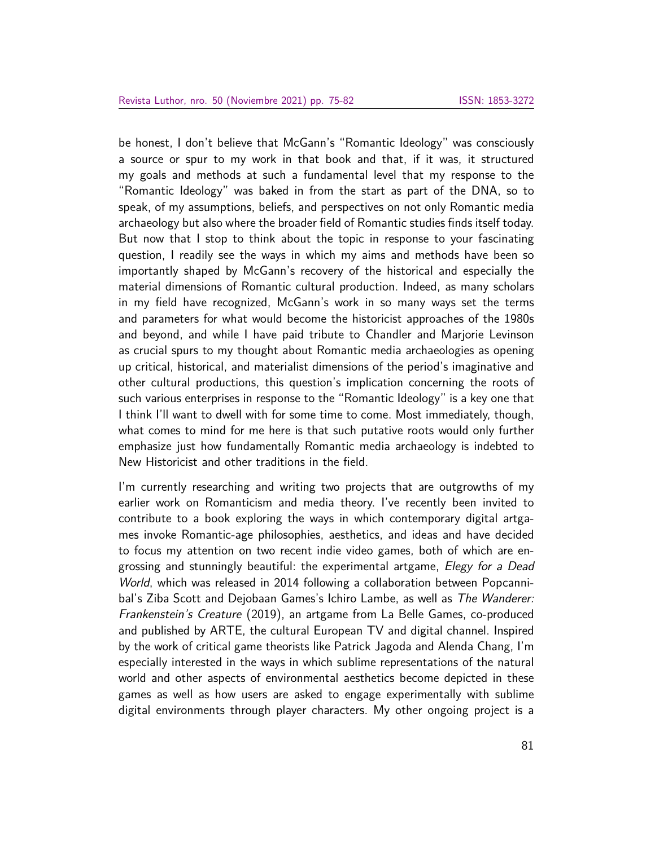be honest, I don't believe that McGann's "Romantic Ideology" was consciously a source or spur to my work in that book and that, if it was, it structured my goals and methods at such a fundamental level that my response to the "Romantic Ideology" was baked in from the start as part of the DNA, so to speak, of my assumptions, beliefs, and perspectives on not only Romantic media archaeology but also where the broader field of Romantic studies finds itself today. But now that I stop to think about the topic in response to your fascinating question, I readily see the ways in which my aims and methods have been so importantly shaped by McGann's recovery of the historical and especially the material dimensions of Romantic cultural production. Indeed, as many scholars in my field have recognized, McGann's work in so many ways set the terms and parameters for what would become the historicist approaches of the 1980s and beyond, and while I have paid tribute to Chandler and Marjorie Levinson as crucial spurs to my thought about Romantic media archaeologies as opening up critical, historical, and materialist dimensions of the period's imaginative and other cultural productions, this question's implication concerning the roots of such various enterprises in response to the "Romantic Ideology" is a key one that I think I'll want to dwell with for some time to come. Most immediately, though, what comes to mind for me here is that such putative roots would only further emphasize just how fundamentally Romantic media archaeology is indebted to New Historicist and other traditions in the field.

I'm currently researching and writing two projects that are outgrowths of my earlier work on Romanticism and media theory. I've recently been invited to contribute to a book exploring the ways in which contemporary digital artgames invoke Romantic-age philosophies, aesthetics, and ideas and have decided to focus my attention on two recent indie video games, both of which are engrossing and stunningly beautiful: the experimental artgame, *Elegy for a Dead* World, which was released in 2014 following a collaboration between Popcannibal's Ziba Scott and Dejobaan Games's Ichiro Lambe, as well as The Wanderer: Frankenstein's Creature (2019), an artgame from La Belle Games, co-produced and published by ARTE, the cultural European TV and digital channel. Inspired by the work of critical game theorists like Patrick Jagoda and Alenda Chang, I'm especially interested in the ways in which sublime representations of the natural world and other aspects of environmental aesthetics become depicted in these games as well as how users are asked to engage experimentally with sublime digital environments through player characters. My other ongoing project is a